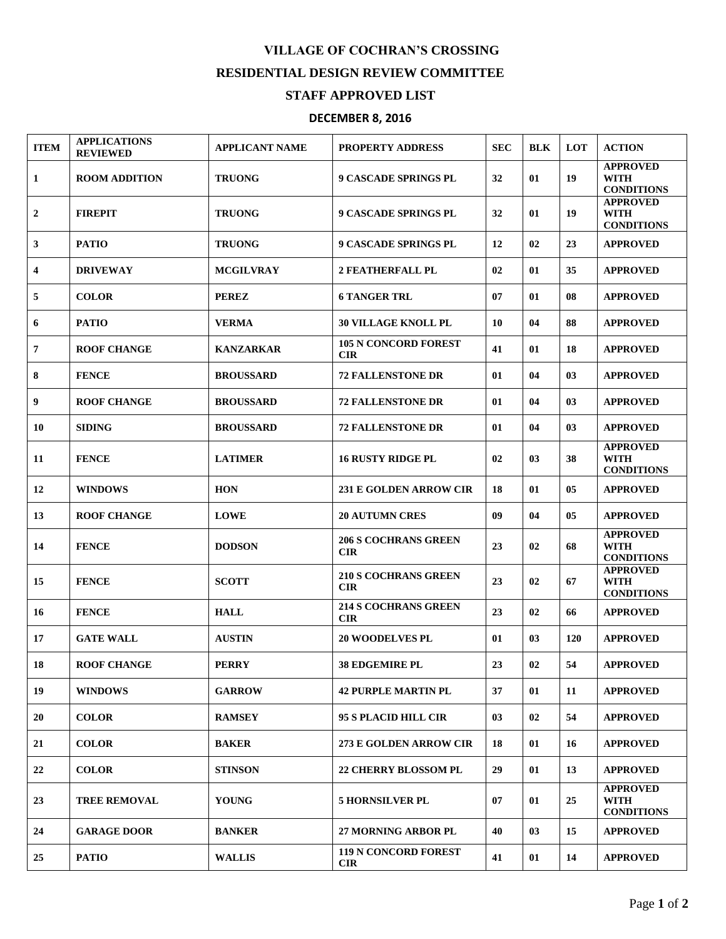## **VILLAGE OF COCHRAN'S CROSSING RESIDENTIAL DESIGN REVIEW COMMITTEE**

## **STAFF APPROVED LIST**

## **DECEMBER 8, 2016**

| <b>ITEM</b>             | <b>APPLICATIONS</b><br><b>REVIEWED</b> | <b>APPLICANT NAME</b> | <b>PROPERTY ADDRESS</b>                   | <b>SEC</b> | <b>BLK</b> | <b>LOT</b> | <b>ACTION</b>                                       |
|-------------------------|----------------------------------------|-----------------------|-------------------------------------------|------------|------------|------------|-----------------------------------------------------|
| 1                       | <b>ROOM ADDITION</b>                   | <b>TRUONG</b>         | <b>9 CASCADE SPRINGS PL</b>               | 32         | 01         | 19         | <b>APPROVED</b><br><b>WITH</b><br><b>CONDITIONS</b> |
| $\boldsymbol{2}$        | <b>FIREPIT</b>                         | <b>TRUONG</b>         | <b>9 CASCADE SPRINGS PL</b>               | 32         | 01         | 19         | <b>APPROVED</b><br><b>WITH</b><br><b>CONDITIONS</b> |
| 3                       | <b>PATIO</b>                           | <b>TRUONG</b>         | <b>9 CASCADE SPRINGS PL</b>               | 12         | 02         | 23         | <b>APPROVED</b>                                     |
| $\overline{\mathbf{4}}$ | <b>DRIVEWAY</b>                        | <b>MCGILVRAY</b>      | <b>2 FEATHERFALL PL</b>                   | 02         | 01         | 35         | <b>APPROVED</b>                                     |
| 5                       | <b>COLOR</b>                           | <b>PEREZ</b>          | <b>6 TANGER TRL</b>                       | 07         | 01         | 08         | <b>APPROVED</b>                                     |
| 6                       | <b>PATIO</b>                           | <b>VERMA</b>          | <b>30 VILLAGE KNOLL PL</b>                | 10         | 04         | 88         | <b>APPROVED</b>                                     |
| $\overline{7}$          | <b>ROOF CHANGE</b>                     | <b>KANZARKAR</b>      | <b>105 N CONCORD FOREST</b><br><b>CIR</b> | 41         | 01         | 18         | <b>APPROVED</b>                                     |
| 8                       | <b>FENCE</b>                           | <b>BROUSSARD</b>      | <b>72 FALLENSTONE DR</b>                  | 01         | 04         | 03         | <b>APPROVED</b>                                     |
| 9                       | <b>ROOF CHANGE</b>                     | <b>BROUSSARD</b>      | <b>72 FALLENSTONE DR</b>                  | 01         | 04         | 03         | <b>APPROVED</b>                                     |
| 10                      | <b>SIDING</b>                          | <b>BROUSSARD</b>      | <b>72 FALLENSTONE DR</b>                  | 01         | 04         | 03         | <b>APPROVED</b>                                     |
| 11                      | <b>FENCE</b>                           | <b>LATIMER</b>        | <b>16 RUSTY RIDGE PL</b>                  | 02         | 03         | 38         | <b>APPROVED</b><br><b>WITH</b><br><b>CONDITIONS</b> |
| 12                      | <b>WINDOWS</b>                         | <b>HON</b>            | <b>231 E GOLDEN ARROW CIR</b>             | 18         | 01         | 05         | <b>APPROVED</b>                                     |
| 13                      | <b>ROOF CHANGE</b>                     | <b>LOWE</b>           | <b>20 AUTUMN CRES</b>                     | 09         | 04         | 05         | <b>APPROVED</b>                                     |
| 14                      | <b>FENCE</b>                           | <b>DODSON</b>         | <b>206 S COCHRANS GREEN</b><br><b>CIR</b> | 23         | 02         | 68         | <b>APPROVED</b><br><b>WITH</b><br><b>CONDITIONS</b> |
| 15                      | <b>FENCE</b>                           | <b>SCOTT</b>          | <b>210 S COCHRANS GREEN</b><br><b>CIR</b> | 23         | 02         | 67         | <b>APPROVED</b><br><b>WITH</b><br><b>CONDITIONS</b> |
| 16                      | <b>FENCE</b>                           | <b>HALL</b>           | <b>214 S COCHRANS GREEN</b><br><b>CIR</b> | 23         | 02         | 66         | <b>APPROVED</b>                                     |
| 17                      | <b>GATE WALL</b>                       | <b>AUSTIN</b>         | <b>20 WOODELVES PL</b>                    | 01         | 03         | <b>120</b> | <b>APPROVED</b>                                     |
| 18                      | <b>ROOF CHANGE</b>                     | <b>PERRY</b>          | 38 EDGEMIRE PL                            | 23         | 02         | 54         | <b>APPROVED</b>                                     |
| 19                      | <b>WINDOWS</b>                         | <b>GARROW</b>         | <b>42 PURPLE MARTIN PL</b>                | 37         | 01         | 11         | <b>APPROVED</b>                                     |
| 20                      | <b>COLOR</b>                           | <b>RAMSEY</b>         | 95 S PLACID HILL CIR                      | 03         | 02         | 54         | <b>APPROVED</b>                                     |
| 21                      | <b>COLOR</b>                           | <b>BAKER</b>          | 273 E GOLDEN ARROW CIR                    | 18         | 01         | 16         | <b>APPROVED</b>                                     |
| 22                      | <b>COLOR</b>                           | <b>STINSON</b>        | 22 CHERRY BLOSSOM PL                      | 29         | 01         | 13         | <b>APPROVED</b>                                     |
| 23                      | <b>TREE REMOVAL</b>                    | <b>YOUNG</b>          | <b>5 HORNSILVER PL</b>                    | 07         | 01         | 25         | <b>APPROVED</b><br><b>WITH</b><br><b>CONDITIONS</b> |
| 24                      | <b>GARAGE DOOR</b>                     | <b>BANKER</b>         | 27 MORNING ARBOR PL                       | 40         | 03         | 15         | <b>APPROVED</b>                                     |
| 25                      | <b>PATIO</b>                           | <b>WALLIS</b>         | 119 N CONCORD FOREST<br><b>CIR</b>        | 41         | 01         | 14         | <b>APPROVED</b>                                     |